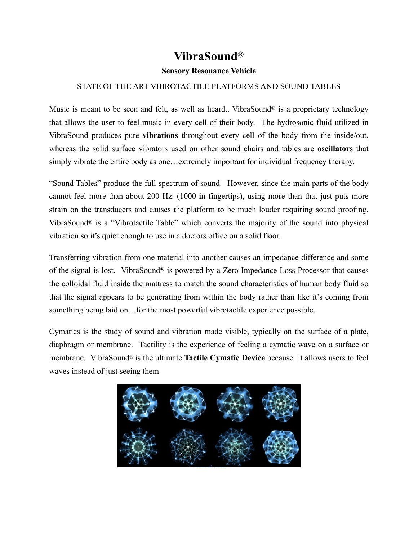## **VibraSound®**

## **Sensory Resonance Vehicle**

## STATE OF THE ART VIBROTACTILE PLATFORMS AND SOUND TABLES

Music is meant to be seen and felt, as well as heard.. VibraSound<sup>®</sup> is a proprietary technology that allows the user to feel music in every cell of their body. The hydrosonic fluid utilized in VibraSound produces pure **vibrations** throughout every cell of the body from the inside/out, whereas the solid surface vibrators used on other sound chairs and tables are **oscillators** that simply vibrate the entire body as one…extremely important for individual frequency therapy.

"Sound Tables" produce the full spectrum of sound. However, since the main parts of the body cannot feel more than about 200 Hz. (1000 in fingertips), using more than that just puts more strain on the transducers and causes the platform to be much louder requiring sound proofing. VibraSound® is a "Vibrotactile Table" which converts the majority of the sound into physical vibration so it's quiet enough to use in a doctors office on a solid floor.

Transferring vibration from one material into another causes an impedance difference and some of the signal is lost. VibraSound® is powered by a Zero Impedance Loss Processor that causes the colloidal fluid inside the mattress to match the sound characteristics of human body fluid so that the signal appears to be generating from within the body rather than like it's coming from something being laid on…for the most powerful vibrotactile experience possible.

Cymatics is the study of sound and vibration made visible, typically on the surface of a plate, diaphragm or membrane. Tactility is the experience of feeling a cymatic wave on a surface or membrane. VibraSound® is the ultimate **Tactile Cymatic Device** because it allows users to feel waves instead of just seeing them

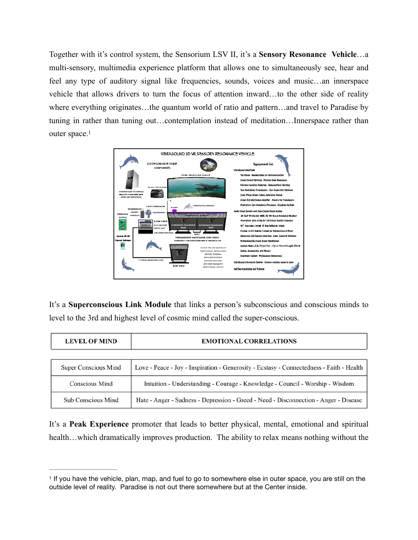Together with it's control system, the Sensorium LSV II, it's a **Sensory Resonance Vehicle**…a multi-sensory, multimedia experience platform that allows one to simultaneously see, hear and feel any type of auditory signal like frequencies, sounds, voices and music…an innerspace vehicle that allows drivers to turn the focus of attention inward…to the other side of reality where everything originates…the quantum world of ratio and pattern…and travel to Paradise by tuning in rather than tuning out…contemplation instead of meditation…Innerspace rather than outer space[.](#page-1-0)<sup>[1](#page-1-0)</sup>

<span id="page-1-1"></span>

It's a **Superconscious Link Module** that links a person's subconscious and conscious minds to level to the 3rd and highest level of cosmic mind called the super-conscious.

| <b>LEVEL OF MIND</b>      | <b>EMOTIONAL CORRELATIONS</b>                                                            |
|---------------------------|------------------------------------------------------------------------------------------|
|                           |                                                                                          |
| Super Conscious Mind      | Love - Peace - Joy - Inspiration - Generosity - Ecstasy - Connectedness - Faith - Health |
| Conscious Mind            | Intuition - Understanding - Courage - Knowledge - Council - Worship - Wisdom             |
| <b>Sub Conscious Mind</b> | Hate - Anger - Sadness - Depression - Greed - Need - Disconnection - Anger - Disease     |

It's a **Peak Experience** promoter that leads to better physical, mental, emotional and spiritual health…which dramatically improves production. The ability to relax means nothing without the

<span id="page-1-0"></span><sup>&</sup>lt;sup>1</sup>If you have the vehicle, plan, map, and fuel to go to somewhere else in outer space, you are still on the outside level of reality. Paradise is not out there somewhere but at the Center inside.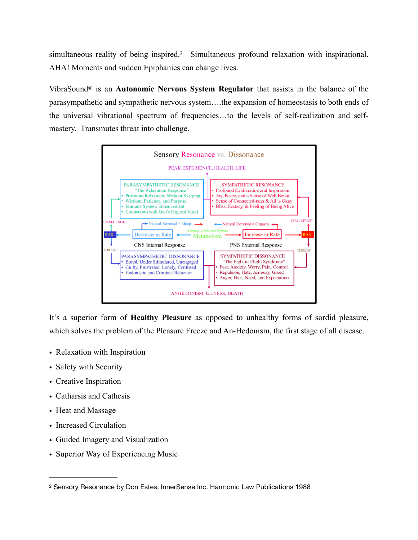simultaneousreality of being inspired.<sup>[2](#page-2-0)</sup> Simultaneous profound relaxation with inspirational. AHA! Moments and sudden Epiphanies can change lives.

VibraSound® is an **Autonomic Nervous System Regulator** that assists in the balance of the parasympathetic and sympathetic nervous system….the expansion of homeostasis to both ends of the universal vibrational spectrum of frequencies…to the levels of self-realization and selfmastery. Transmutes threat into challenge.

<span id="page-2-1"></span>

It's a superior form of **Healthy Pleasure** as opposed to unhealthy forms of sordid pleasure, which solves the problem of the Pleasure Freeze and An-Hedonism, the first stage of all disease.

- Relaxation with Inspiration
- Safety with Security
- Creative Inspiration
- Catharsis and Cathesis
- Heat and Massage
- Increased Circulation
- Guided Imagery and Visualization
- Superior Way of Experiencing Music

<span id="page-2-0"></span>[<sup>2</sup>](#page-2-1) Sensory Resonance by Don Estes, InnerSense Inc. Harmonic Law Publications 1988